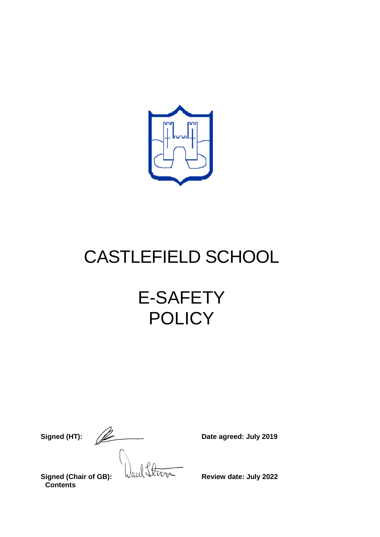

# CASTLEFIELD SCHOOL

# E-SAFETY **POLICY**

**Signed (HT):**  $\sqrt{2}$  Date agreed: July 2019 **Signed (Chair of GB):** WILL SUPPER Review date: July 2022

**Contents**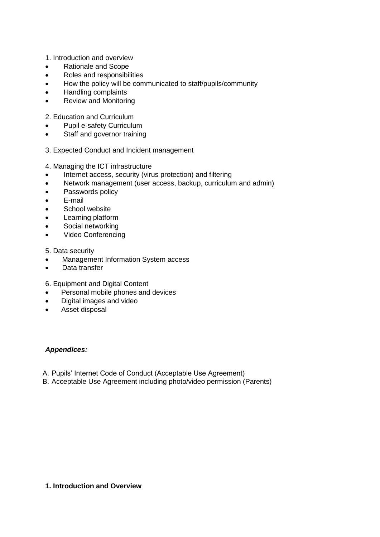- 1. Introduction and overview
- Rationale and Scope
- Roles and responsibilities
- How the policy will be communicated to staff/pupils/community
- Handling complaints
- Review and Monitoring
- 2. Education and Curriculum
- Pupil e-safety Curriculum
- Staff and governor training
- 3. Expected Conduct and Incident management
- 4. Managing the ICT infrastructure
- Internet access, security (virus protection) and filtering
- Network management (user access, backup, curriculum and admin)
- Passwords policy
- E-mail
- **•** School website
- Learning platform
- Social networking
- Video Conferencing

#### 5. Data security

- Management Information System access
- Data transfer
- 6. Equipment and Digital Content
- Personal mobile phones and devices
- Digital images and video
- Asset disposal

#### *Appendices:*

- A. Pupils' Internet Code of Conduct (Acceptable Use Agreement)
- B. Acceptable Use Agreement including photo/video permission (Parents)

#### **1. Introduction and Overview**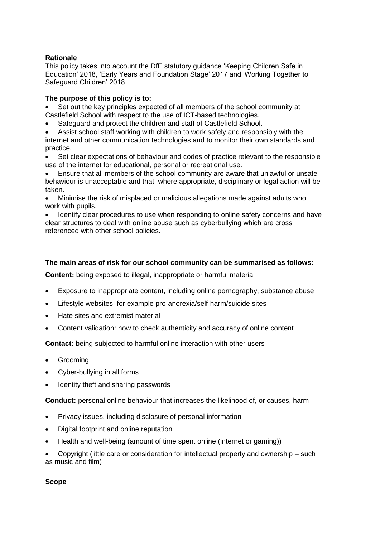#### **Rationale**

This policy takes into account the DfE statutory guidance 'Keeping Children Safe in Education' 2018, 'Early Years and Foundation Stage' 2017 and 'Working Together to Safeguard Children' 2018.

#### **The purpose of this policy is to:**

 Set out the key principles expected of all members of the school community at Castlefield School with respect to the use of ICT-based technologies.

- Safeguard and protect the children and staff of Castlefield School.
- Assist school staff working with children to work safely and responsibly with the internet and other communication technologies and to monitor their own standards and practice.
- Set clear expectations of behaviour and codes of practice relevant to the responsible use of the internet for educational, personal or recreational use.

 Ensure that all members of the school community are aware that unlawful or unsafe behaviour is unacceptable and that, where appropriate, disciplinary or legal action will be taken.

 Minimise the risk of misplaced or malicious allegations made against adults who work with pupils.

 Identify clear procedures to use when responding to online safety concerns and have clear structures to deal with online abuse such as cyberbullying which are cross referenced with other school policies.

#### **The main areas of risk for our school community can be summarised as follows:**

**Content:** being exposed to illegal, inappropriate or harmful material

- Exposure to inappropriate content, including online pornography, substance abuse
- Lifestyle websites, for example pro-anorexia/self-harm/suicide sites
- Hate sites and extremist material
- Content validation: how to check authenticity and accuracy of online content

**Contact:** being subjected to harmful online interaction with other users

- Grooming
- Cyber-bullying in all forms
- Identity theft and sharing passwords

**Conduct:** personal online behaviour that increases the likelihood of, or causes, harm

- Privacy issues, including disclosure of personal information
- Digital footprint and online reputation
- Health and well-being (amount of time spent online (internet or gaming))
- Copyright (little care or consideration for intellectual property and ownership such as music and film)

#### **Scope**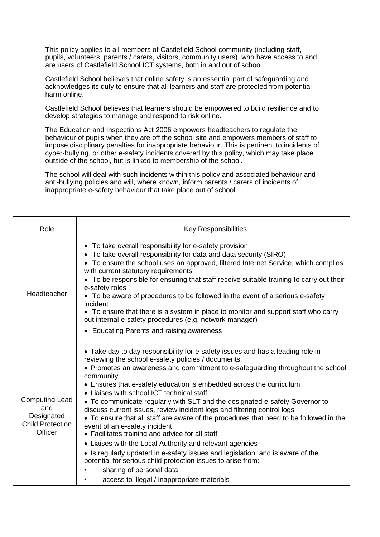This policy applies to all members of Castlefield School community (including staff, pupils, volunteers, parents / carers, visitors, community users) who have access to and are users of Castlefield School ICT systems, both in and out of school.

Castlefield School believes that online safety is an essential part of safeguarding and acknowledges its duty to ensure that all learners and staff are protected from potential harm online.

Castlefield School believes that learners should be empowered to build resilience and to develop strategies to manage and respond to risk online.

The Education and Inspections Act 2006 empowers headteachers to regulate the behaviour of pupils when they are off the school site and empowers members of staff to impose disciplinary penalties for inappropriate behaviour. This is pertinent to incidents of cyber-bullying, or other e-safety incidents covered by this policy, which may take place outside of the school, but is linked to membership of the school.

The school will deal with such incidents within this policy and associated behaviour and anti-bullying policies and will, where known, inform parents / carers of incidents of inappropriate e-safety behaviour that take place out of school.

| Role                                                                             | <b>Key Responsibilities</b>                                                                                                                                                                                                                                                                                                                                                                                                                                                                                                                                                                                                                                                                                                                                                                                                                                                                                                                                                              |  |  |
|----------------------------------------------------------------------------------|------------------------------------------------------------------------------------------------------------------------------------------------------------------------------------------------------------------------------------------------------------------------------------------------------------------------------------------------------------------------------------------------------------------------------------------------------------------------------------------------------------------------------------------------------------------------------------------------------------------------------------------------------------------------------------------------------------------------------------------------------------------------------------------------------------------------------------------------------------------------------------------------------------------------------------------------------------------------------------------|--|--|
| Headteacher                                                                      | • To take overall responsibility for e-safety provision<br>• To take overall responsibility for data and data security (SIRO)<br>• To ensure the school uses an approved, filtered Internet Service, which complies<br>with current statutory requirements<br>• To be responsible for ensuring that staff receive suitable training to carry out their<br>e-safety roles<br>• To be aware of procedures to be followed in the event of a serious e-safety<br>incident<br>• To ensure that there is a system in place to monitor and support staff who carry<br>out internal e-safety procedures (e.g. network manager)                                                                                                                                                                                                                                                                                                                                                                   |  |  |
|                                                                                  | • Educating Parents and raising awareness                                                                                                                                                                                                                                                                                                                                                                                                                                                                                                                                                                                                                                                                                                                                                                                                                                                                                                                                                |  |  |
| <b>Computing Lead</b><br>and<br>Designated<br><b>Child Protection</b><br>Officer | • Take day to day responsibility for e-safety issues and has a leading role in<br>reviewing the school e-safety policies / documents<br>• Promotes an awareness and commitment to e-safeguarding throughout the school<br>community<br>• Ensures that e-safety education is embedded across the curriculum<br>• Liaises with school ICT technical staff<br>• To communicate regularly with SLT and the designated e-safety Governor to<br>discuss current issues, review incident logs and filtering control logs<br>• To ensure that all staff are aware of the procedures that need to be followed in the<br>event of an e-safety incident<br>• Facilitates training and advice for all staff<br>• Liaises with the Local Authority and relevant agencies<br>• Is regularly updated in e-safety issues and legislation, and is aware of the<br>potential for serious child protection issues to arise from:<br>sharing of personal data<br>access to illegal / inappropriate materials |  |  |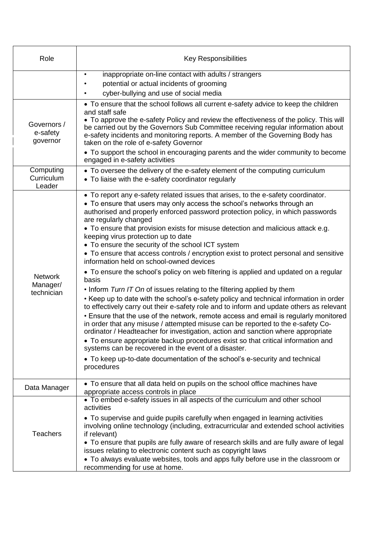| Role                                                                                                                                | <b>Key Responsibilities</b>                                                                                                                                                                                                                                                                                                                                                                                                                                                                                                                                                                                                                                                                                                                                                                                                                                                                                                                                                                                                                                                                                                                                                                                                                                                                                                                                                                                                                                             |  |
|-------------------------------------------------------------------------------------------------------------------------------------|-------------------------------------------------------------------------------------------------------------------------------------------------------------------------------------------------------------------------------------------------------------------------------------------------------------------------------------------------------------------------------------------------------------------------------------------------------------------------------------------------------------------------------------------------------------------------------------------------------------------------------------------------------------------------------------------------------------------------------------------------------------------------------------------------------------------------------------------------------------------------------------------------------------------------------------------------------------------------------------------------------------------------------------------------------------------------------------------------------------------------------------------------------------------------------------------------------------------------------------------------------------------------------------------------------------------------------------------------------------------------------------------------------------------------------------------------------------------------|--|
|                                                                                                                                     | inappropriate on-line contact with adults / strangers<br>$\bullet$<br>potential or actual incidents of grooming<br>cyber-bullying and use of social media                                                                                                                                                                                                                                                                                                                                                                                                                                                                                                                                                                                                                                                                                                                                                                                                                                                                                                                                                                                                                                                                                                                                                                                                                                                                                                               |  |
| Governors /<br>e-safety<br>governor                                                                                                 | • To ensure that the school follows all current e-safety advice to keep the children<br>and staff safe<br>• To approve the e-safety Policy and review the effectiveness of the policy. This will<br>be carried out by the Governors Sub Committee receiving regular information about<br>e-safety incidents and monitoring reports. A member of the Governing Body has<br>taken on the role of e-safety Governor<br>• To support the school in encouraging parents and the wider community to become<br>engaged in e-safety activities                                                                                                                                                                                                                                                                                                                                                                                                                                                                                                                                                                                                                                                                                                                                                                                                                                                                                                                                  |  |
| Computing<br>Curriculum<br>Leader                                                                                                   | • To oversee the delivery of the e-safety element of the computing curriculum<br>• To liaise with the e-safety coordinator regularly                                                                                                                                                                                                                                                                                                                                                                                                                                                                                                                                                                                                                                                                                                                                                                                                                                                                                                                                                                                                                                                                                                                                                                                                                                                                                                                                    |  |
| <b>Network</b><br>Manager/<br>technician                                                                                            | • To report any e-safety related issues that arises, to the e-safety coordinator.<br>• To ensure that users may only access the school's networks through an<br>authorised and properly enforced password protection policy, in which passwords<br>are regularly changed<br>• To ensure that provision exists for misuse detection and malicious attack e.g.<br>keeping virus protection up to date<br>• To ensure the security of the school ICT system<br>• To ensure that access controls / encryption exist to protect personal and sensitive<br>information held on school-owned devices<br>• To ensure the school's policy on web filtering is applied and updated on a regular<br>basis<br>. Inform Turn IT On of issues relating to the filtering applied by them<br>• Keep up to date with the school's e-safety policy and technical information in order<br>to effectively carry out their e-safety role and to inform and update others as relevant<br>• Ensure that the use of the network, remote access and email is regularly monitored<br>in order that any misuse / attempted misuse can be reported to the e-safety Co-<br>ordinator / Headteacher for investigation, action and sanction where appropriate<br>• To ensure appropriate backup procedures exist so that critical information and<br>systems can be recovered in the event of a disaster.<br>• To keep up-to-date documentation of the school's e-security and technical<br>procedures |  |
| • To ensure that all data held on pupils on the school office machines have<br>Data Manager<br>appropriate access controls in place |                                                                                                                                                                                                                                                                                                                                                                                                                                                                                                                                                                                                                                                                                                                                                                                                                                                                                                                                                                                                                                                                                                                                                                                                                                                                                                                                                                                                                                                                         |  |
| <b>Teachers</b>                                                                                                                     | • To embed e-safety issues in all aspects of the curriculum and other school<br>activities<br>• To supervise and guide pupils carefully when engaged in learning activities<br>involving online technology (including, extracurricular and extended school activities<br>if relevant)<br>• To ensure that pupils are fully aware of research skills and are fully aware of legal<br>issues relating to electronic content such as copyright laws<br>• To always evaluate websites, tools and apps fully before use in the classroom or<br>recommending for use at home.                                                                                                                                                                                                                                                                                                                                                                                                                                                                                                                                                                                                                                                                                                                                                                                                                                                                                                 |  |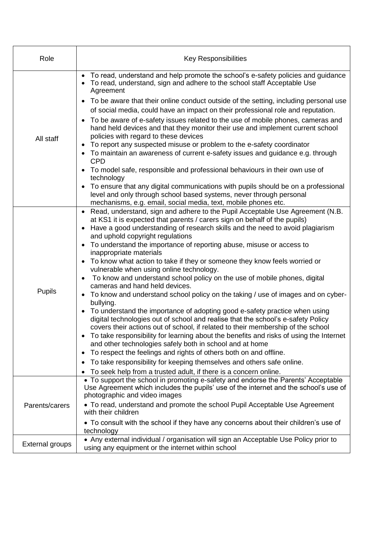| Role                   | <b>Key Responsibilities</b>                                                                                                                                                                                                                                                                                                                                                                                                                                                                                                                                                                                                                                                                                                                                                                                                                                                                                                                                                                                                                                                                                                                                                                                                                                                                                                                                                                                                  |  |
|------------------------|------------------------------------------------------------------------------------------------------------------------------------------------------------------------------------------------------------------------------------------------------------------------------------------------------------------------------------------------------------------------------------------------------------------------------------------------------------------------------------------------------------------------------------------------------------------------------------------------------------------------------------------------------------------------------------------------------------------------------------------------------------------------------------------------------------------------------------------------------------------------------------------------------------------------------------------------------------------------------------------------------------------------------------------------------------------------------------------------------------------------------------------------------------------------------------------------------------------------------------------------------------------------------------------------------------------------------------------------------------------------------------------------------------------------------|--|
|                        | • To read, understand and help promote the school's e-safety policies and guidance<br>To read, understand, sign and adhere to the school staff Acceptable Use<br>Agreement                                                                                                                                                                                                                                                                                                                                                                                                                                                                                                                                                                                                                                                                                                                                                                                                                                                                                                                                                                                                                                                                                                                                                                                                                                                   |  |
| All staff              | To be aware that their online conduct outside of the setting, including personal use<br>of social media, could have an impact on their professional role and reputation.<br>To be aware of e-safety issues related to the use of mobile phones, cameras and<br>$\bullet$<br>hand held devices and that they monitor their use and implement current school<br>policies with regard to these devices<br>To report any suspected misuse or problem to the e-safety coordinator<br>To maintain an awareness of current e-safety issues and guidance e.g. through<br><b>CPD</b><br>To model safe, responsible and professional behaviours in their own use of<br>technology<br>To ensure that any digital communications with pupils should be on a professional<br>level and only through school based systems, never through personal<br>mechanisms, e.g. email, social media, text, mobile phones etc.                                                                                                                                                                                                                                                                                                                                                                                                                                                                                                                        |  |
| Pupils                 | Read, understand, sign and adhere to the Pupil Acceptable Use Agreement (N.B.<br>$\bullet$<br>at KS1 it is expected that parents / carers sign on behalf of the pupils)<br>Have a good understanding of research skills and the need to avoid plagiarism<br>and uphold copyright regulations<br>To understand the importance of reporting abuse, misuse or access to<br>inappropriate materials<br>To know what action to take if they or someone they know feels worried or<br>$\bullet$<br>vulnerable when using online technology.<br>To know and understand school policy on the use of mobile phones, digital<br>$\bullet$<br>cameras and hand held devices.<br>To know and understand school policy on the taking / use of images and on cyber-<br>bullying.<br>To understand the importance of adopting good e-safety practice when using<br>$\bullet$<br>digital technologies out of school and realise that the school's e-safety Policy<br>covers their actions out of school, if related to their membership of the school<br>• To take responsibility for learning about the benefits and risks of using the Internet<br>and other technologies safely both in school and at home<br>To respect the feelings and rights of others both on and offline.<br>$\bullet$<br>To take responsibility for keeping themselves and others safe online.<br>To seek help from a trusted adult, if there is a concern online. |  |
| Parents/carers         | • To support the school in promoting e-safety and endorse the Parents' Acceptable<br>Use Agreement which includes the pupils' use of the internet and the school's use of<br>photographic and video images<br>• To read, understand and promote the school Pupil Acceptable Use Agreement                                                                                                                                                                                                                                                                                                                                                                                                                                                                                                                                                                                                                                                                                                                                                                                                                                                                                                                                                                                                                                                                                                                                    |  |
|                        | with their children<br>• To consult with the school if they have any concerns about their children's use of<br>technology                                                                                                                                                                                                                                                                                                                                                                                                                                                                                                                                                                                                                                                                                                                                                                                                                                                                                                                                                                                                                                                                                                                                                                                                                                                                                                    |  |
| <b>External groups</b> | • Any external individual / organisation will sign an Acceptable Use Policy prior to<br>using any equipment or the internet within school                                                                                                                                                                                                                                                                                                                                                                                                                                                                                                                                                                                                                                                                                                                                                                                                                                                                                                                                                                                                                                                                                                                                                                                                                                                                                    |  |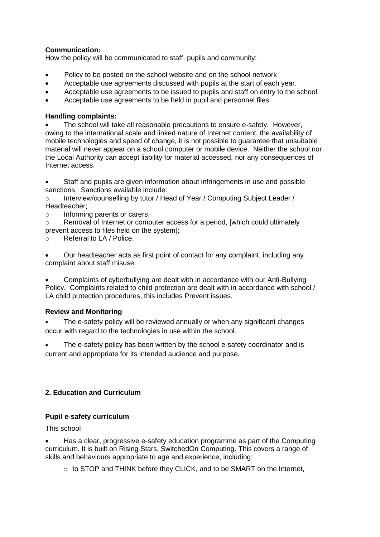# **Communication:**

How the policy will be communicated to staff, pupils and community:

- Policy to be posted on the school website and on the school network
- Acceptable use agreements discussed with pupils at the start of each year.
- Acceptable use agreements to be issued to pupils and staff on entry to the school
- Acceptable use agreements to be held in pupil and personnel files

# **Handling complaints:**

 The school will take all reasonable precautions to ensure e-safety. However, owing to the international scale and linked nature of Internet content, the availability of mobile technologies and speed of change, it is not possible to guarantee that unsuitable material will never appear on a school computer or mobile device. Neither the school nor the Local Authority can accept liability for material accessed, nor any consequences of Internet access.

 Staff and pupils are given information about infringements in use and possible sanctions. Sanctions available include:

o Interview/counselling by tutor / Head of Year / Computing Subject Leader / Headteacher;

o Informing parents or carers;

 $\circ$  Removal of Internet or computer access for a period, [which could ultimately prevent access to files held on the system];

o Referral to LA / Police.

 Our headteacher acts as first point of contact for any complaint, including any complaint about staff misuse.

 Complaints of cyberbullying are dealt with in accordance with our Anti-Bullying Policy. Complaints related to child protection are dealt with in accordance with school / LA child protection procedures, this includes Prevent issues.

# **Review and Monitoring**

 The e-safety policy will be reviewed annually or when any significant changes occur with regard to the technologies in use within the school.

 The e-safety policy has been written by the school e-safety coordinator and is current and appropriate for its intended audience and purpose.

# **2. Education and Curriculum**

# **Pupil e-safety curriculum**

This school

 Has a clear, progressive e-safety education programme as part of the Computing curriculum. It is built on Rising Stars, SwitchedOn Computing. This covers a range of skills and behaviours appropriate to age and experience, including:

o to STOP and THINK before they CLICK, and to be SMART on the Internet,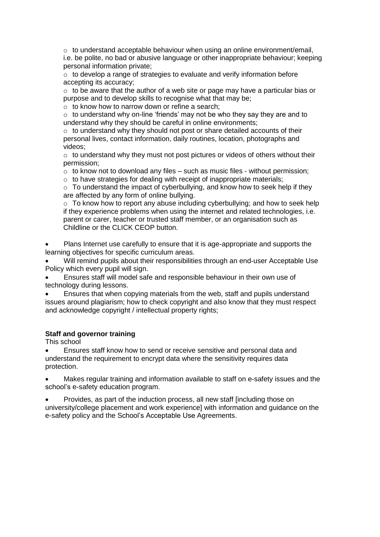$\circ$  to understand acceptable behaviour when using an online environment/email, i.e. be polite, no bad or abusive language or other inappropriate behaviour; keeping personal information private;

 $\circ$  to develop a range of strategies to evaluate and verify information before accepting its accuracy;

 $\circ$  to be aware that the author of a web site or page may have a particular bias or purpose and to develop skills to recognise what that may be;

o to know how to narrow down or refine a search;

 $\circ$  to understand why on-line 'friends' may not be who they say they are and to understand why they should be careful in online environments;

 $\circ$  to understand why they should not post or share detailed accounts of their personal lives, contact information, daily routines, location, photographs and videos;

 $\circ$  to understand why they must not post pictures or videos of others without their permission;

 $\circ$  to know not to download any files – such as music files - without permission;

 $\circ$  to have strategies for dealing with receipt of inappropriate materials;

o To understand the impact of cyberbullying, and know how to seek help if they are affected by any form of online bullying.

o To know how to report any abuse including cyberbullying; and how to seek help if they experience problems when using the internet and related technologies, i.e. parent or carer, teacher or trusted staff member, or an organisation such as Childline or the CLICK CEOP button.

 Plans Internet use carefully to ensure that it is age-appropriate and supports the learning objectives for specific curriculum areas.

 Will remind pupils about their responsibilities through an end-user Acceptable Use Policy which every pupil will sign.

 Ensures staff will model safe and responsible behaviour in their own use of technology during lessons.

 Ensures that when copying materials from the web, staff and pupils understand issues around plagiarism; how to check copyright and also know that they must respect and acknowledge copyright / intellectual property rights;

#### **Staff and governor training**

This school

 Ensures staff know how to send or receive sensitive and personal data and understand the requirement to encrypt data where the sensitivity requires data protection.

 Makes regular training and information available to staff on e-safety issues and the school's e-safety education program.

 Provides, as part of the induction process, all new staff [including those on university/college placement and work experience] with information and guidance on the e-safety policy and the School's Acceptable Use Agreements.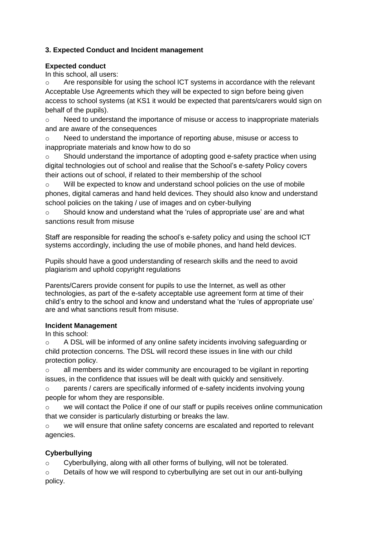# **3. Expected Conduct and Incident management**

### **Expected conduct**

In this school, all users:

 $\circ$  Are responsible for using the school ICT systems in accordance with the relevant Acceptable Use Agreements which they will be expected to sign before being given access to school systems (at KS1 it would be expected that parents/carers would sign on behalf of the pupils).

 $\circ$  Need to understand the importance of misuse or access to inappropriate materials and are aware of the consequences

o Need to understand the importance of reporting abuse, misuse or access to inappropriate materials and know how to do so

o Should understand the importance of adopting good e-safety practice when using digital technologies out of school and realise that the School's e-safety Policy covers their actions out of school, if related to their membership of the school

o Will be expected to know and understand school policies on the use of mobile phones, digital cameras and hand held devices. They should also know and understand school policies on the taking / use of images and on cyber-bullying

o Should know and understand what the 'rules of appropriate use' are and what sanctions result from misuse

Staff are responsible for reading the school's e-safety policy and using the school ICT systems accordingly, including the use of mobile phones, and hand held devices.

Pupils should have a good understanding of research skills and the need to avoid plagiarism and uphold copyright regulations

Parents/Carers provide consent for pupils to use the Internet, as well as other technologies, as part of the e-safety acceptable use agreement form at time of their child's entry to the school and know and understand what the 'rules of appropriate use' are and what sanctions result from misuse.

# **Incident Management**

In this school:

 $\circ$  A DSL will be informed of any online safety incidents involving safeguarding or child protection concerns. The DSL will record these issues in line with our child protection policy.

o all members and its wider community are encouraged to be vigilant in reporting issues, in the confidence that issues will be dealt with quickly and sensitively.

 $\circ$  parents / carers are specifically informed of e-safety incidents involving young people for whom they are responsible.

we will contact the Police if one of our staff or pupils receives online communication that we consider is particularly disturbing or breaks the law.

we will ensure that online safety concerns are escalated and reported to relevant agencies.

# **Cyberbullying**

 $\circ$  Cyberbullying, along with all other forms of bullying, will not be tolerated.

 $\circ$  Details of how we will respond to cyberbullying are set out in our anti-bullying policy.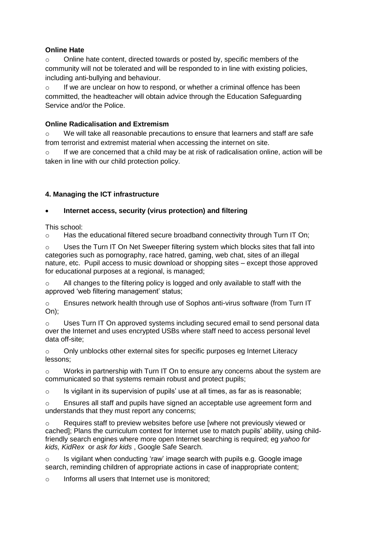# **Online Hate**

o Online hate content, directed towards or posted by, specific members of the community will not be tolerated and will be responded to in line with existing policies, including anti-bullying and behaviour.

o If we are unclear on how to respond, or whether a criminal offence has been committed, the headteacher will obtain advice through the Education Safeguarding Service and/or the Police

# **Online Radicalisation and Extremism**

o We will take all reasonable precautions to ensure that learners and staff are safe from terrorist and extremist material when accessing the internet on site.

 $\circ$  If we are concerned that a child may be at risk of radicalisation online, action will be taken in line with our child protection policy.

# **4. Managing the ICT infrastructure**

# **Internet access, security (virus protection) and filtering**

This school:

 $\circ$  Has the educational filtered secure broadband connectivity through Turn IT On;

 $\circ$  Uses the Turn IT On Net Sweeper filtering system which blocks sites that fall into categories such as pornography, race hatred, gaming, web chat, sites of an illegal nature, etc. Pupil access to music download or shopping sites – except those approved for educational purposes at a regional, is managed;

 $\circ$  All changes to the filtering policy is logged and only available to staff with the approved 'web filtering management' status;

o Ensures network health through use of Sophos anti-virus software (from Turn IT On);

o Uses Turn IT On approved systems including secured email to send personal data over the Internet and uses encrypted USBs where staff need to access personal level data off-site;

 $\circ$  Only unblocks other external sites for specific purposes eg Internet Literacy lessons;

 $\circ$  Works in partnership with Turn IT On to ensure any concerns about the system are communicated so that systems remain robust and protect pupils;

 $\circ$  Is vigilant in its supervision of pupils' use at all times, as far as is reasonable;

 $\circ$  Ensures all staff and pupils have signed an acceptable use agreement form and understands that they must report any concerns;

o Requires staff to preview websites before use [where not previously viewed or cached]; Plans the curriculum context for Internet use to match pupils' ability, using childfriendly search engines where more open Internet searching is required; eg *[yahoo for](http://kids.yahoo.com/)  [kids, KidRex](http://kids.yahoo.com/)* or *[ask for kids](http://www.askkids.com/)* , Google Safe Search.

o Is vigilant when conducting 'raw' image search with pupils e.g. Google image search, reminding children of appropriate actions in case of inappropriate content;

o Informs all users that Internet use is monitored;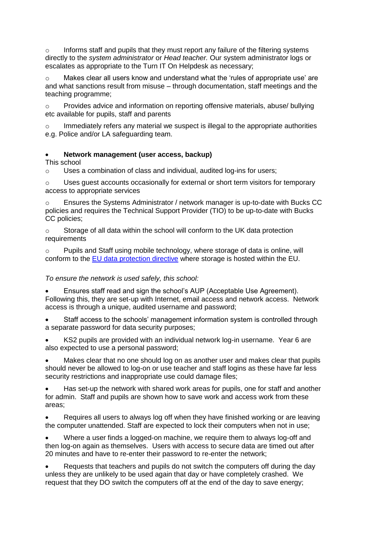$\circ$  Informs staff and pupils that they must report any failure of the filtering systems directly to the *system administrator* or *Head teacher.* Our system administrator logs or escalates as appropriate to the Turn IT On Helpdesk as necessary;

 $\circ$  Makes clear all users know and understand what the 'rules of appropriate use' are and what sanctions result from misuse – through documentation, staff meetings and the teaching programme;

o Provides advice and information on reporting offensive materials, abuse/ bullying etc available for pupils, staff and parents

 $\circ$  Immediately refers any material we suspect is illegal to the appropriate authorities e.g. Police and/or LA safeguarding team.

#### **Network management (user access, backup)**

This school

o Uses a combination of class and individual, audited log-ins for users;

 $\circ$  Uses quest accounts occasionally for external or short term visitors for temporary access to appropriate services

o Ensures the Systems Administrator / network manager is up-to-date with Bucks CC policies and requires the Technical Support Provider (TIO) to be up-to-date with Bucks CC policies;

o Storage of all data within the school will conform to the UK data protection requirements

o Pupils and Staff using mobile technology, where storage of data is online, will conform to the [EU data protection directive](http://en.wikipedia.org/wiki/Data_Protection_Directive) where storage is hosted within the EU.

#### *To ensure the network is used safely, this school:*

 Ensures staff read and sign the school's AUP (Acceptable Use Agreement). Following this, they are set-up with Internet, email access and network access. Network access is through a unique, audited username and password;

 Staff access to the schools' management information system is controlled through a separate password for data security purposes;

 KS2 pupils are provided with an individual network log-in username. Year 6 are also expected to use a personal password;

 Makes clear that no one should log on as another user and makes clear that pupils should never be allowed to log-on or use teacher and staff logins as these have far less security restrictions and inappropriate use could damage files:

 Has set-up the network with shared work areas for pupils, one for staff and another for admin. Staff and pupils are shown how to save work and access work from these areas;

 Requires all users to always log off when they have finished working or are leaving the computer unattended. Staff are expected to lock their computers when not in use;

 Where a user finds a logged-on machine, we require them to always log-off and then log-on again as themselves. Users with access to secure data are timed out after 20 minutes and have to re-enter their password to re-enter the network;

 Requests that teachers and pupils do not switch the computers off during the day unless they are unlikely to be used again that day or have completely crashed. We request that they DO switch the computers off at the end of the day to save energy;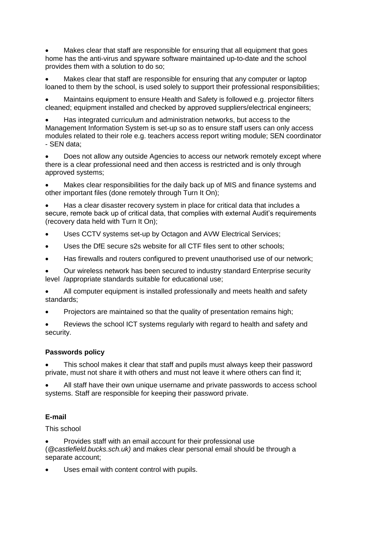Makes clear that staff are responsible for ensuring that all equipment that goes home has the anti-virus and spyware software maintained up-to-date and the school provides them with a solution to do so;

 Makes clear that staff are responsible for ensuring that any computer or laptop loaned to them by the school, is used solely to support their professional responsibilities;

 Maintains equipment to ensure Health and Safety is followed e.g. projector filters cleaned; equipment installed and checked by approved suppliers/electrical engineers;

 Has integrated curriculum and administration networks, but access to the Management Information System is set-up so as to ensure staff users can only access modules related to their role e.g. teachers access report writing module; SEN coordinator - SEN data;

 Does not allow any outside Agencies to access our network remotely except where there is a clear professional need and then access is restricted and is only through approved systems;

 Makes clear responsibilities for the daily back up of MIS and finance systems and other important files (done remotely through Turn It On);

 Has a clear disaster recovery system in place for critical data that includes a secure, remote back up of critical data, that complies with external Audit's requirements (recovery data held with Turn It On);

- Uses CCTV systems set-up by Octagon and AVW Electrical Services;
- Uses the DfE secure s2s website for all CTF files sent to other schools;
- Has firewalls and routers configured to prevent unauthorised use of our network;

 Our wireless network has been secured to industry standard Enterprise security level /appropriate standards suitable for educational use;

 All computer equipment is installed professionally and meets health and safety standards;

Projectors are maintained so that the quality of presentation remains high:

 Reviews the school ICT systems regularly with regard to health and safety and security.

#### **Passwords policy**

 This school makes it clear that staff and pupils must always keep their password private, must not share it with others and must not leave it where others can find it;

 All staff have their own unique username and private passwords to access school systems. Staff are responsible for keeping their password private.

# **E-mail**

This school

 Provides staff with an email account for their professional use (*@castlefield.bucks.sch.uk)* and makes clear personal email should be through a separate account;

Uses email with content control with pupils.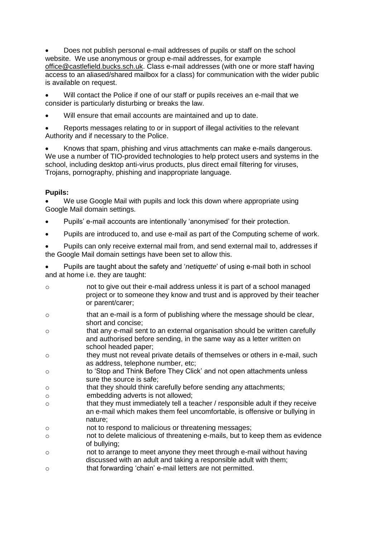Does not publish personal e-mail addresses of pupils or staff on the school website. We use anonymous or group e-mail addresses, for example [office@castlefield.bucks.sch.uk.](mailto:office@castlefield.bucks.sch.uk) Class e-mail addresses (with one or more staff having access to an aliased/shared mailbox for a class) for communication with the wider public is available on request.

 Will contact the Police if one of our staff or pupils receives an e-mail that we consider is particularly disturbing or breaks the law.

Will ensure that email accounts are maintained and up to date.

 Reports messages relating to or in support of illegal activities to the relevant Authority and if necessary to the Police.

 Knows that spam, phishing and virus attachments can make e-mails dangerous. We use a number of TIO-provided technologies to help protect users and systems in the school, including desktop anti-virus products, plus direct email filtering for viruses, Trojans, pornography, phishing and inappropriate language.

#### **Pupils:**

 We use Google Mail with pupils and lock this down where appropriate using Google Mail domain settings.

- Pupils' e-mail accounts are intentionally 'anonymised' for their protection.
- Pupils are introduced to, and use e-mail as part of the Computing scheme of work.

 Pupils can only receive external mail from, and send external mail to, addresses if the Google Mail domain settings have been set to allow this.

 Pupils are taught about the safety and '*netiquette*' of using e-mail both in school and at home i.e. they are taught:

- o not to give out their e-mail address unless it is part of a school managed project or to someone they know and trust and is approved by their teacher or parent/carer;
- o that an e-mail is a form of publishing where the message should be clear, short and concise;
- o that any e-mail sent to an external organisation should be written carefully and authorised before sending, in the same way as a letter written on school headed paper;
- o they must not reveal private details of themselves or others in e-mail, such as address, telephone number, etc;
- o to 'Stop and Think Before They Click' and not open attachments unless sure the source is safe;
- o that they should think carefully before sending any attachments;
- o embedding adverts is not allowed;
- o that they must immediately tell a teacher / responsible adult if they receive an e-mail which makes them feel uncomfortable, is offensive or bullying in nature;
- o not to respond to malicious or threatening messages;
- o not to delete malicious of threatening e-mails, but to keep them as evidence of bullying;
- o not to arrange to meet anyone they meet through e-mail without having discussed with an adult and taking a responsible adult with them;
- o that forwarding 'chain' e-mail letters are not permitted.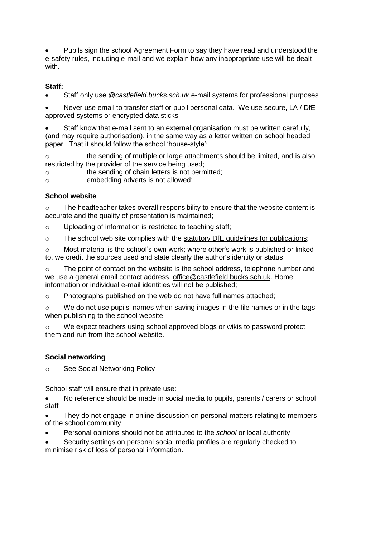Pupils sign the school Agreement Form to say they have read and understood the e-safety rules, including e-mail and we explain how any inappropriate use will be dealt with.

# **Staff:**

Staff only use @*castlefield.bucks.sch.uk* e-mail systems for professional purposes

 Never use email to transfer staff or pupil personal data. We use secure, LA / DfE approved systems or encrypted data sticks

 Staff know that e-mail sent to an external organisation must be written carefully, (and may require authorisation), in the same way as a letter written on school headed paper. That it should follow the school 'house-style':

o the sending of multiple or large attachments should be limited, and is also restricted by the provider of the service being used;

o the sending of chain letters is not permitted;

o embedding adverts is not allowed;

# **School website**

o The headteacher takes overall responsibility to ensure that the website content is accurate and the quality of presentation is maintained;

- o Uploading of information is restricted to teaching staff;
- $\circ$  The school web site complies with the statutory DfE quidelines for publications;

o Most material is the school's own work; where other's work is published or linked to, we credit the sources used and state clearly the author's identity or status;

o The point of contact on the website is the school address, telephone number and we use a general email contact address, [office@castlefield.bucks.sch.uk.](mailto:office@castlefield.bucks.sch.uk) Home information or individual e-mail identities will not be published;

o Photographs published on the web do not have full names attached;

 $\circ$  We do not use pupils' names when saving images in the file names or in the tags when publishing to the school website;

o We expect teachers using school approved blogs or wikis to password protect them and run from the school website.

# **Social networking**

o See Social Networking Policy

School staff will ensure that in private use:

• No reference should be made in social media to pupils, parents / carers or school staff

 They do not engage in online discussion on personal matters relating to members of the school community

Personal opinions should not be attributed to the *school* or local authority

 Security settings on personal social media profiles are regularly checked to minimise risk of loss of personal information.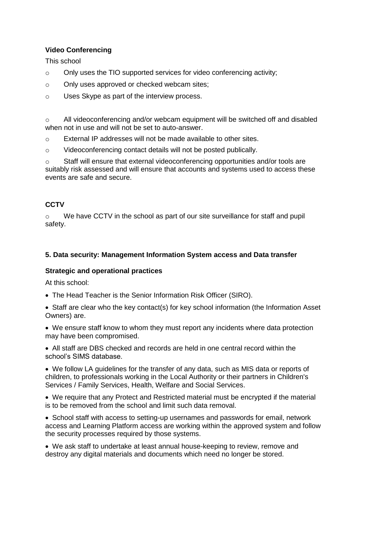# **Video Conferencing**

This school

- o Only uses the TIO supported services for video conferencing activity;
- o Only uses approved or checked webcam sites;
- o Uses Skype as part of the interview process.

 $\circ$  All videoconferencing and/or webcam equipment will be switched off and disabled when not in use and will not be set to auto-answer.

o External IP addresses will not be made available to other sites.

o Videoconferencing contact details will not be posted publically.

 $\circ$  Staff will ensure that external videoconferencing opportunities and/or tools are suitably risk assessed and will ensure that accounts and systems used to access these events are safe and secure.

# **CCTV**

 $\circ$  We have CCTV in the school as part of our site surveillance for staff and pupil safety.

# **5. Data security: Management Information System access and Data transfer**

#### **Strategic and operational practices**

At this school:

The Head Teacher is the Senior Information Risk Officer (SIRO).

• Staff are clear who the key contact(s) for key school information (the Information Asset Owners) are.

 We ensure staff know to whom they must report any incidents where data protection may have been compromised.

 All staff are DBS checked and records are held in one central record within the school's SIMS database.

 We follow LA guidelines for the transfer of any data, such as MIS data or reports of children, to professionals working in the Local Authority or their partners in Children's Services / Family Services, Health, Welfare and Social Services.

 We require that any Protect and Restricted material must be encrypted if the material is to be removed from the school and limit such data removal.

 School staff with access to setting-up usernames and passwords for email, network access and Learning Platform access are working within the approved system and follow the security processes required by those systems.

 We ask staff to undertake at least annual house-keeping to review, remove and destroy any digital materials and documents which need no longer be stored.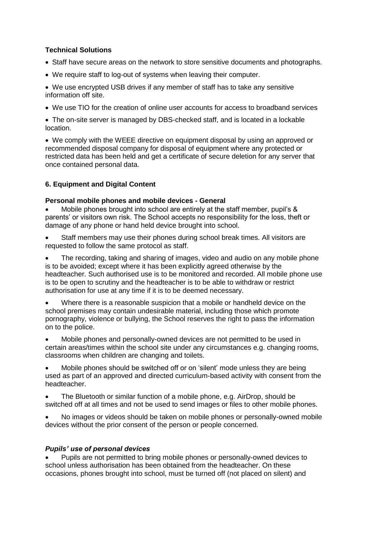# **Technical Solutions**

- Staff have secure areas on the network to store sensitive documents and photographs.
- We require staff to log-out of systems when leaving their computer.

 We use encrypted USB drives if any member of staff has to take any sensitive information off site.

We use TIO for the creation of online user accounts for access to broadband services

• The on-site server is managed by DBS-checked staff, and is located in a lockable location.

 We comply with the WEEE directive on equipment disposal by using an approved or recommended disposal company for disposal of equipment where any protected or restricted data has been held and get a certificate of secure deletion for any server that once contained personal data.

#### **6. Equipment and Digital Content**

#### **Personal mobile phones and mobile devices - General**

 Mobile phones brought into school are entirely at the staff member, pupil's & parents' or visitors own risk. The School accepts no responsibility for the loss, theft or damage of any phone or hand held device brought into school.

 Staff members may use their phones during school break times. All visitors are requested to follow the same protocol as staff.

 The recording, taking and sharing of images, video and audio on any mobile phone is to be avoided; except where it has been explicitly agreed otherwise by the headteacher. Such authorised use is to be monitored and recorded. All mobile phone use is to be open to scrutiny and the headteacher is to be able to withdraw or restrict authorisation for use at any time if it is to be deemed necessary.

 Where there is a reasonable suspicion that a mobile or handheld device on the school premises may contain undesirable material, including those which promote pornography, violence or bullying, the School reserves the right to pass the information on to the police.

 Mobile phones and personally-owned devices are not permitted to be used in certain areas/times within the school site under any circumstances e.g. changing rooms, classrooms when children are changing and toilets.

 Mobile phones should be switched off or on 'silent' mode unless they are being used as part of an approved and directed curriculum-based activity with consent from the headteacher.

 The Bluetooth or similar function of a mobile phone, e.g. AirDrop, should be switched off at all times and not be used to send images or files to other mobile phones.

 No images or videos should be taken on mobile phones or personally-owned mobile devices without the prior consent of the person or people concerned.

#### *Pupils' use of personal devices*

 Pupils are not permitted to bring mobile phones or personally-owned devices to school unless authorisation has been obtained from the headteacher. On these occasions, phones brought into school, must be turned off (not placed on silent) and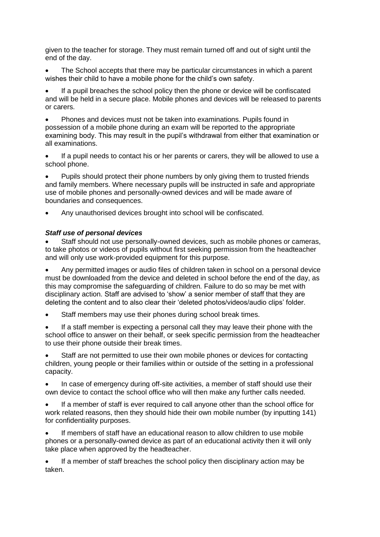given to the teacher for storage. They must remain turned off and out of sight until the end of the day.

 The School accepts that there may be particular circumstances in which a parent wishes their child to have a mobile phone for the child's own safety.

 If a pupil breaches the school policy then the phone or device will be confiscated and will be held in a secure place. Mobile phones and devices will be released to parents or carers.

 Phones and devices must not be taken into examinations. Pupils found in possession of a mobile phone during an exam will be reported to the appropriate examining body. This may result in the pupil's withdrawal from either that examination or all examinations.

 If a pupil needs to contact his or her parents or carers, they will be allowed to use a school phone.

 Pupils should protect their phone numbers by only giving them to trusted friends and family members. Where necessary pupils will be instructed in safe and appropriate use of mobile phones and personally-owned devices and will be made aware of boundaries and consequences.

Any unauthorised devices brought into school will be confiscated.

#### *Staff use of personal devices*

 Staff should not use personally-owned devices, such as mobile phones or cameras, to take photos or videos of pupils without first seeking permission from the headteacher and will only use work-provided equipment for this purpose.

 Any permitted images or audio files of children taken in school on a personal device must be downloaded from the device and deleted in school before the end of the day, as this may compromise the safeguarding of children. Failure to do so may be met with disciplinary action. Staff are advised to 'show' a senior member of staff that they are deleting the content and to also clear their 'deleted photos/videos/audio clips' folder.

Staff members may use their phones during school break times.

 If a staff member is expecting a personal call they may leave their phone with the school office to answer on their behalf, or seek specific permission from the headteacher to use their phone outside their break times.

 Staff are not permitted to use their own mobile phones or devices for contacting children, young people or their families within or outside of the setting in a professional capacity.

 In case of emergency during off-site activities, a member of staff should use their own device to contact the school office who will then make any further calls needed.

 If a member of staff is ever required to call anyone other than the school office for work related reasons, then they should hide their own mobile number (by inputting 141) for confidentiality purposes.

 If members of staff have an educational reason to allow children to use mobile phones or a personally-owned device as part of an educational activity then it will only take place when approved by the headteacher.

 If a member of staff breaches the school policy then disciplinary action may be taken.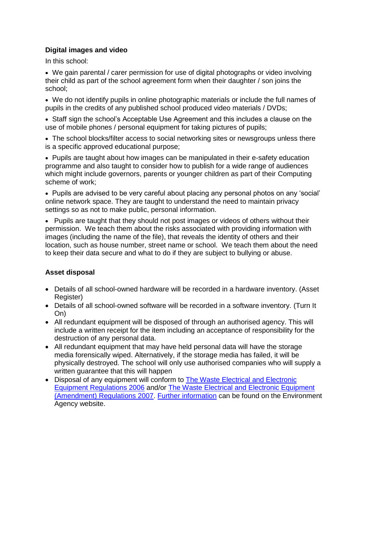#### **Digital images and video**

In this school:

 We gain parental / carer permission for use of digital photographs or video involving their child as part of the school agreement form when their daughter / son joins the school;

 We do not identify pupils in online photographic materials or include the full names of pupils in the credits of any published school produced video materials / DVDs;

• Staff sign the school's Acceptable Use Agreement and this includes a clause on the use of mobile phones / personal equipment for taking pictures of pupils;

• The school blocks/filter access to social networking sites or newsgroups unless there is a specific approved educational purpose;

• Pupils are taught about how images can be manipulated in their e-safety education programme and also taught to consider how to publish for a wide range of audiences which might include governors, parents or younger children as part of their Computing scheme of work;

• Pupils are advised to be very careful about placing any personal photos on any 'social' online network space. They are taught to understand the need to maintain privacy settings so as not to make public, personal information.

• Pupils are taught that they should not post images or videos of others without their permission. We teach them about the risks associated with providing information with images (including the name of the file), that reveals the identity of others and their location, such as house number, street name or school. We teach them about the need to keep their data secure and what to do if they are subject to bullying or abuse.

#### **Asset disposal**

- Details of all school-owned hardware will be recorded in a hardware inventory. (Asset Register)
- Details of all school-owned software will be recorded in a software inventory. (Turn It On)
- All redundant equipment will be disposed of through an authorised agency. This will include a written receipt for the item including an acceptance of responsibility for the destruction of any personal data.
- All redundant equipment that may have held personal data will have the storage media forensically wiped. Alternatively, if the storage media has failed, it will be physically destroyed. The school will only use authorised companies who will supply a written guarantee that this will happen
- Disposal of any equipment will conform to The Waste Electrical and Electronic [Equipment Regulations 2006](http://www.legislation.gov.uk/uksi/2006/3289/pdfs/uksi_20063289_en.pdf) and/or [The Waste Electrical and Electronic Equipment](http://www.legislation.gov.uk/uksi/2007/3454/pdfs/uksi_20073454_en.pdf)  [\(Amendment\) Regulations 2007.](http://www.legislation.gov.uk/uksi/2007/3454/pdfs/uksi_20073454_en.pdf) [Further information](http://www.environment-agency.gov.uk/business/topics/waste/32084.aspx) can be found on the Environment Agency website.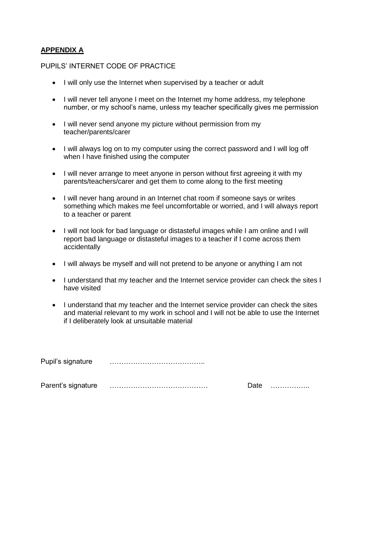# **APPENDIX A**

#### PUPILS' INTERNET CODE OF PRACTICE

- I will only use the Internet when supervised by a teacher or adult
- I will never tell anyone I meet on the Internet my home address, my telephone number, or my school's name, unless my teacher specifically gives me permission
- I will never send anyone my picture without permission from my teacher/parents/carer
- I will always log on to my computer using the correct password and I will log off when I have finished using the computer
- I will never arrange to meet anyone in person without first agreeing it with my parents/teachers/carer and get them to come along to the first meeting
- I will never hang around in an Internet chat room if someone says or writes something which makes me feel uncomfortable or worried, and I will always report to a teacher or parent
- I will not look for bad language or distasteful images while I am online and I will report bad language or distasteful images to a teacher if I come across them accidentally
- I will always be myself and will not pretend to be anyone or anything I am not
- I understand that my teacher and the Internet service provider can check the sites I have visited
- I understand that my teacher and the Internet service provider can check the sites and material relevant to my work in school and I will not be able to use the Internet if I deliberately look at unsuitable material

Pupil's signature …………………………………..

Parent's signature …………………………………… Date ……………..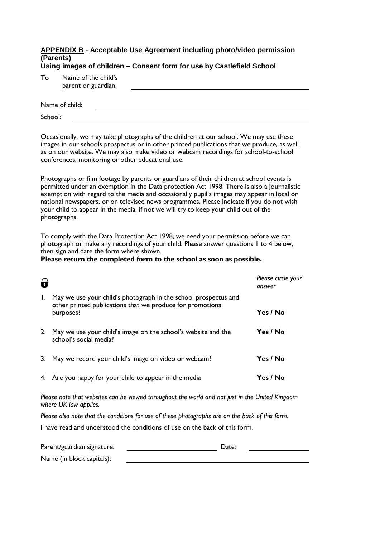#### **APPENDIX B** - **Acceptable Use Agreement including photo/video permission (Parents) Using images of children – Consent form for use by Castlefield School**

| Т٥ | Name of the child's<br>parent or guardian: |  |
|----|--------------------------------------------|--|
|    | Name of child:                             |  |

School:

Occasionally, we may take photographs of the children at our school. We may use these images in our schools prospectus or in other printed publications that we produce, as well as on our website. We may also make video or webcam recordings for school-to-school conferences, monitoring or other educational use.

Photographs or film footage by parents or guardians of their children at school events is permitted under an exemption in the Data protection Act 1998. There is also a journalistic exemption with regard to the media and occasionally pupil's images may appear in local or national newspapers, or on televised news programmes. Please indicate if you do not wish your child to appear in the media, if not we will try to keep your child out of the photographs.

To comply with the Data Protection Act 1998, we need your permission before we can photograph or make any recordings of your child. Please answer questions 1 to 4 below, then sign and date the form where shown.

#### **Please return the completed form to the school as soon as possible.**

|    |                                                                                                                               | Please circle your<br>answer |
|----|-------------------------------------------------------------------------------------------------------------------------------|------------------------------|
| I. | May we use your child's photograph in the school prospectus and<br>other printed publications that we produce for promotional |                              |
|    | purposes?                                                                                                                     | Yes / No                     |
| 2. | May we use your child's image on the school's website and the<br>school's social media?                                       | Yes / No                     |
|    | May we record your child's image on video or webcam?                                                                          | Yes / No                     |
| 4. | Are you happy for your child to appear in the media                                                                           | Yes / No                     |

*Please note that websites can be viewed throughout the world and not just in the United Kingdom where UK law applies.*

*Please also note that the conditions for use of these photographs are on the back of this form.*

I have read and understood the conditions of use on the back of this form.

| Parent/guardian signature: | Date: |  |
|----------------------------|-------|--|
| Name (in block capitals):  |       |  |